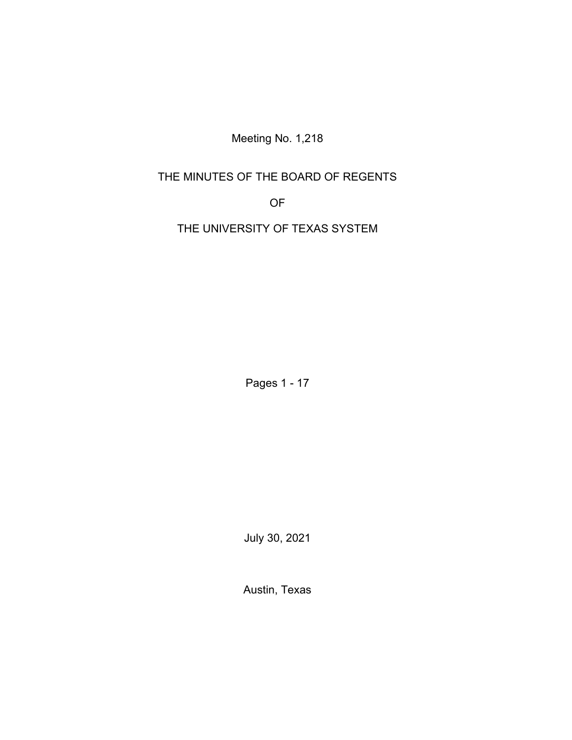Meeting No. 1,218

# THE MINUTES OF THE BOARD OF REGENTS

OF

THE UNIVERSITY OF TEXAS SYSTEM

Pages 1 - 17

July 30, 2021

Austin, Texas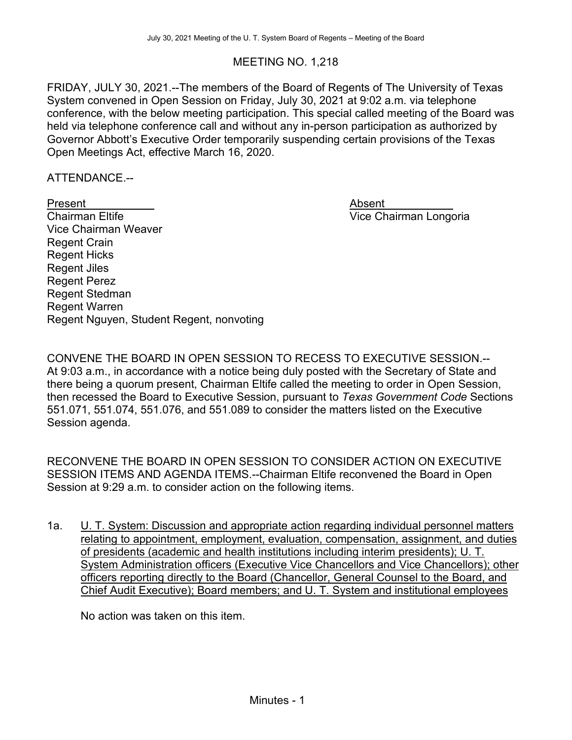# MEETING NO. 1,218

FRIDAY, JULY 30, 2021.--The members of the Board of Regents of The University of Texas System convened in Open Session on Friday, July 30, 2021 at 9:02 a.m. via telephone conference, with the below meeting participation. This special called meeting of the Board was held via telephone conference call and without any in-person participation as authorized by Governor Abbott's Executive Order temporarily suspending certain provisions of the Texas Open Meetings Act, effective March 16, 2020.

ATTENDANCE.--

Present Absent **Chairman Eltife Chairman Eltife Chairman Longoria** Vice Chairman Weaver Regent Crain Regent Hicks Regent Jiles Regent Perez Regent Stedman Regent Warren Regent Nguyen, Student Regent, nonvoting

CONVENE THE BOARD IN OPEN SESSION TO RECESS TO EXECUTIVE SESSION.-- At 9:03 a.m., in accordance with a notice being duly posted with the Secretary of State and there being a quorum present, Chairman Eltife called the meeting to order in Open Session, then recessed the Board to Executive Session, pursuant to *Texas Government Code* Sections 551.071, 551.074, 551.076, and 551.089 to consider the matters listed on the Executive Session agenda.

RECONVENE THE BOARD IN OPEN SESSION TO CONSIDER ACTION ON EXECUTIVE SESSION ITEMS AND AGENDA ITEMS.--Chairman Eltife reconvened the Board in Open Session at 9:29 a.m. to consider action on the following items.

1a. U. T. System: Discussion and appropriate action regarding individual personnel matters relating to appointment, employment, evaluation, compensation, assignment, and duties of presidents (academic and health institutions including interim presidents); U. T. System Administration officers (Executive Vice Chancellors and Vice Chancellors); other officers reporting directly to the Board (Chancellor, General Counsel to the Board, and Chief Audit Executive); Board members; and U. T. System and institutional employees

No action was taken on this item.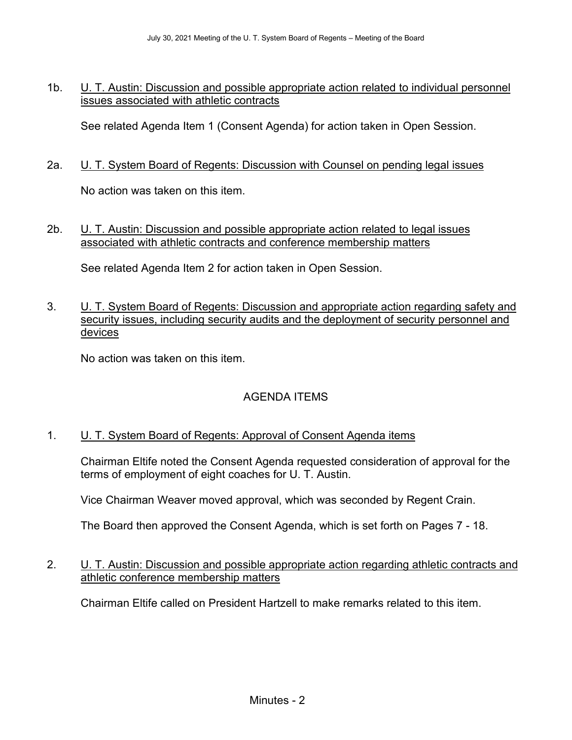1b. U. T. Austin: Discussion and possible appropriate action related to individual personnel issues associated with athletic contracts

See related Agenda Item 1 (Consent Agenda) for action taken in Open Session.

2a. U. T. System Board of Regents: Discussion with Counsel on pending legal issues

No action was taken on this item.

2b. U. T. Austin: Discussion and possible appropriate action related to legal issues associated with athletic contracts and conference membership matters

See related Agenda Item 2 for action taken in Open Session.

3. U. T. System Board of Regents: Discussion and appropriate action regarding safety and security issues, including security audits and the deployment of security personnel and devices

No action was taken on this item.

# AGENDA ITEMS

# 1. U. T. System Board of Regents: Approval of Consent Agenda items

Chairman Eltife noted the Consent Agenda requested consideration of approval for the terms of employment of eight coaches for U. T. Austin.

Vice Chairman Weaver moved approval, which was seconded by Regent Crain.

The Board then approved the Consent Agenda, which is set forth on Pages 7 - 18.

## 2. U. T. Austin: Discussion and possible appropriate action regarding athletic contracts and athletic conference membership matters

Chairman Eltife called on President Hartzell to make remarks related to this item.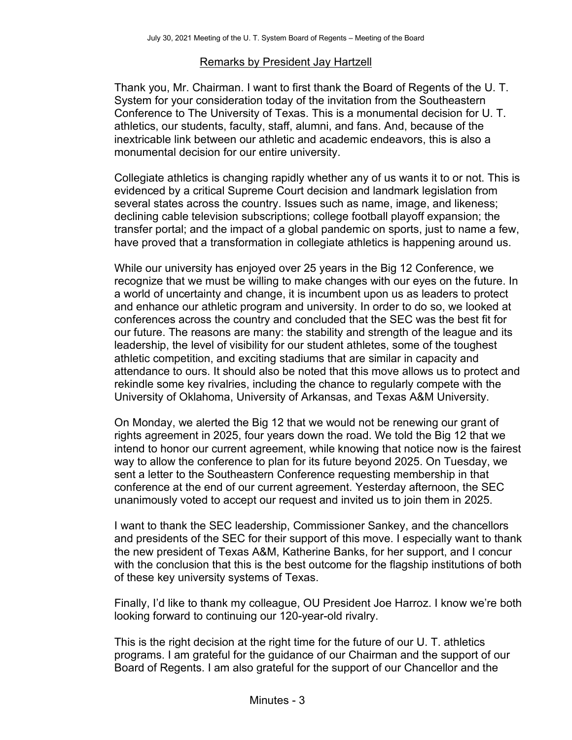#### Remarks by President Jay Hartzell

Thank you, Mr. Chairman. I want to first thank the Board of Regents of the U. T. System for your consideration today of the invitation from the Southeastern Conference to The University of Texas. This is a monumental decision for U. T. athletics, our students, faculty, staff, alumni, and fans. And, because of the inextricable link between our athletic and academic endeavors, this is also a monumental decision for our entire university.

Collegiate athletics is changing rapidly whether any of us wants it to or not. This is evidenced by a critical Supreme Court decision and landmark legislation from several states across the country. Issues such as name, image, and likeness; declining cable television subscriptions; college football playoff expansion; the transfer portal; and the impact of a global pandemic on sports, just to name a few, have proved that a transformation in collegiate athletics is happening around us.

While our university has enjoyed over 25 years in the Big 12 Conference, we recognize that we must be willing to make changes with our eyes on the future. In a world of uncertainty and change, it is incumbent upon us as leaders to protect and enhance our athletic program and university. In order to do so, we looked at conferences across the country and concluded that the SEC was the best fit for our future. The reasons are many: the stability and strength of the league and its leadership, the level of visibility for our student athletes, some of the toughest athletic competition, and exciting stadiums that are similar in capacity and attendance to ours. It should also be noted that this move allows us to protect and rekindle some key rivalries, including the chance to regularly compete with the University of Oklahoma, University of Arkansas, and Texas A&M University.

On Monday, we alerted the Big 12 that we would not be renewing our grant of rights agreement in 2025, four years down the road. We told the Big 12 that we intend to honor our current agreement, while knowing that notice now is the fairest way to allow the conference to plan for its future beyond 2025. On Tuesday, we sent a letter to the Southeastern Conference requesting membership in that conference at the end of our current agreement. Yesterday afternoon, the SEC unanimously voted to accept our request and invited us to join them in 2025.

I want to thank the SEC leadership, Commissioner Sankey, and the chancellors and presidents of the SEC for their support of this move. I especially want to thank the new president of Texas A&M, Katherine Banks, for her support, and I concur with the conclusion that this is the best outcome for the flagship institutions of both of these key university systems of Texas.

Finally, I'd like to thank my colleague, OU President Joe Harroz. I know we're both looking forward to continuing our 120-year-old rivalry.

This is the right decision at the right time for the future of our U. T. athletics programs. I am grateful for the guidance of our Chairman and the support of our Board of Regents. I am also grateful for the support of our Chancellor and the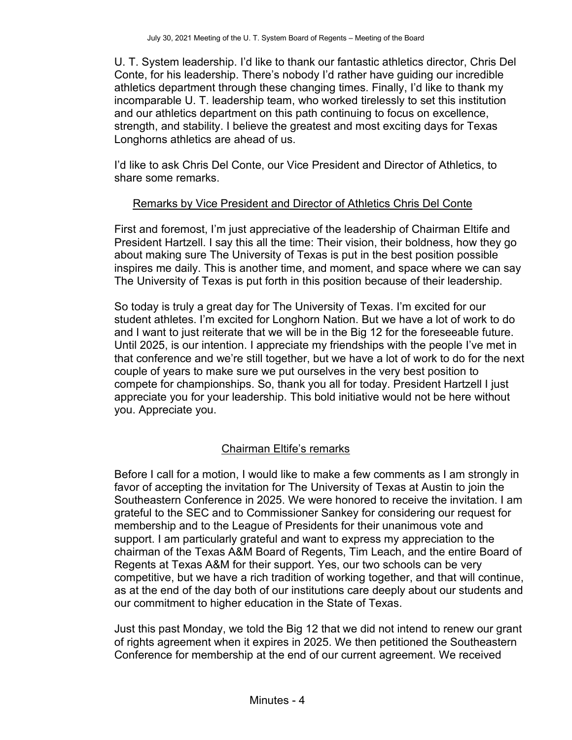U. T. System leadership. I'd like to thank our fantastic athletics director, Chris Del Conte, for his leadership. There's nobody I'd rather have guiding our incredible athletics department through these changing times. Finally, I'd like to thank my incomparable U. T. leadership team, who worked tirelessly to set this institution and our athletics department on this path continuing to focus on excellence, strength, and stability. I believe the greatest and most exciting days for Texas Longhorns athletics are ahead of us.

I'd like to ask Chris Del Conte, our Vice President and Director of Athletics, to share some remarks.

## Remarks by Vice President and Director of Athletics Chris Del Conte

First and foremost, I'm just appreciative of the leadership of Chairman Eltife and President Hartzell. I say this all the time: Their vision, their boldness, how they go about making sure The University of Texas is put in the best position possible inspires me daily. This is another time, and moment, and space where we can say The University of Texas is put forth in this position because of their leadership.

So today is truly a great day for The University of Texas. I'm excited for our student athletes. I'm excited for Longhorn Nation. But we have a lot of work to do and I want to just reiterate that we will be in the Big 12 for the foreseeable future. Until 2025, is our intention. I appreciate my friendships with the people I've met in that conference and we're still together, but we have a lot of work to do for the next couple of years to make sure we put ourselves in the very best position to compete for championships. So, thank you all for today. President Hartzell I just appreciate you for your leadership. This bold initiative would not be here without you. Appreciate you.

# Chairman Eltife's remarks

Before I call for a motion, I would like to make a few comments as I am strongly in favor of accepting the invitation for The University of Texas at Austin to join the Southeastern Conference in 2025. We were honored to receive the invitation. I am grateful to the SEC and to Commissioner Sankey for considering our request for membership and to the League of Presidents for their unanimous vote and support. I am particularly grateful and want to express my appreciation to the chairman of the Texas A&M Board of Regents, Tim Leach, and the entire Board of Regents at Texas A&M for their support. Yes, our two schools can be very competitive, but we have a rich tradition of working together, and that will continue, as at the end of the day both of our institutions care deeply about our students and our commitment to higher education in the State of Texas.

Just this past Monday, we told the Big 12 that we did not intend to renew our grant of rights agreement when it expires in 2025. We then petitioned the Southeastern Conference for membership at the end of our current agreement. We received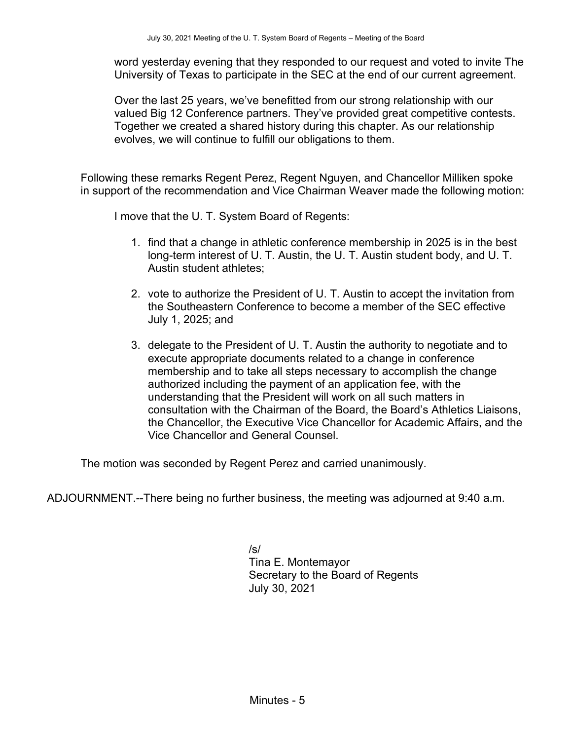word yesterday evening that they responded to our request and voted to invite The University of Texas to participate in the SEC at the end of our current agreement.

Over the last 25 years, we've benefitted from our strong relationship with our valued Big 12 Conference partners. They've provided great competitive contests. Together we created a shared history during this chapter. As our relationship evolves, we will continue to fulfill our obligations to them.

Following these remarks Regent Perez, Regent Nguyen, and Chancellor Milliken spoke in support of the recommendation and Vice Chairman Weaver made the following motion:

I move that the U. T. System Board of Regents: 

- 1. find that a change in athletic conference membership in 2025 is in the best long-term interest of U. T. Austin, the U. T. Austin student body, and U. T. Austin student athletes;
- 2. vote to authorize the President of U. T. Austin to accept the invitation from the Southeastern Conference to become a member of the SEC effective July 1, 2025; and
- 3. delegate to the President of U. T. Austin the authority to negotiate and to execute appropriate documents related to a change in conference membership and to take all steps necessary to accomplish the change authorized including the payment of an application fee, with the understanding that the President will work on all such matters in consultation with the Chairman of the Board, the Board's Athletics Liaisons, the Chancellor, the Executive Vice Chancellor for Academic Affairs, and the Vice Chancellor and General Counsel.

The motion was seconded by Regent Perez and carried unanimously.

ADJOURNMENT.--There being no further business, the meeting was adjourned at 9:40 a.m.

/s/ Tina E. Montemayor Secretary to the Board of Regents July 30, 2021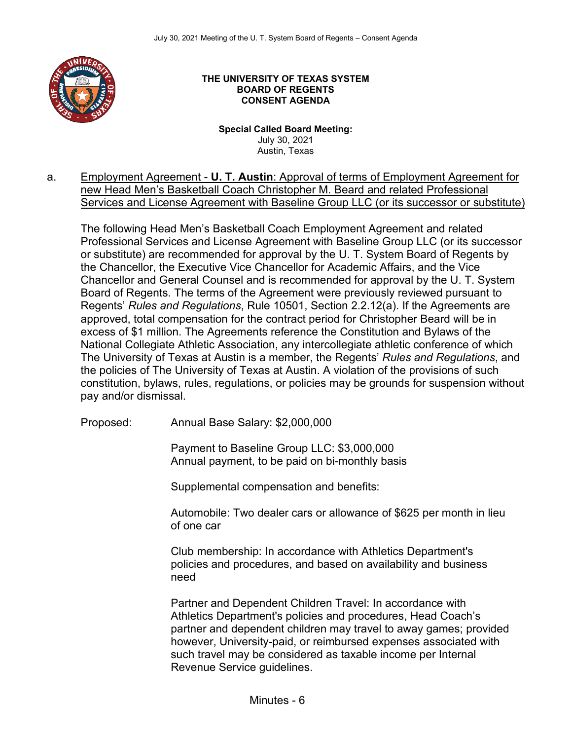

#### **THE UNIVERSITY OF TEXAS SYSTEM BOARD OF REGENTS CONSENT AGENDA**

**Special Called Board Meeting:**  July 30, 2021 Austin, Texas

a. Employment Agreement - **U. T. Austin**: Approval of terms of Employment Agreement for new Head Men's Basketball Coach Christopher M. Beard and related Professional Services and License Agreement with Baseline Group LLC (or its successor or substitute)

The following Head Men's Basketball Coach Employment Agreement and related Professional Services and License Agreement with Baseline Group LLC (or its successor or substitute) are recommended for approval by the U. T. System Board of Regents by the Chancellor, the Executive Vice Chancellor for Academic Affairs, and the Vice Chancellor and General Counsel and is recommended for approval by the U. T. System Board of Regents. The terms of the Agreement were previously reviewed pursuant to Regents' *Rules and Regulations*, Rule 10501, Section 2.2.12(a). If the Agreements are approved, total compensation for the contract period for Christopher Beard will be in excess of \$1 million. The Agreements reference the Constitution and Bylaws of the National Collegiate Athletic Association, any intercollegiate athletic conference of which The University of Texas at Austin is a member, the Regents' *Rules and Regulations*, and the policies of The University of Texas at Austin. A violation of the provisions of such constitution, bylaws, rules, regulations, or policies may be grounds for suspension without pay and/or dismissal.

Proposed: Annual Base Salary: \$2,000,000

Payment to Baseline Group LLC: \$3,000,000 Annual payment, to be paid on bi-monthly basis

Supplemental compensation and benefits:

Automobile: Two dealer cars or allowance of \$625 per month in lieu of one car

Club membership: In accordance with Athletics Department's policies and procedures, and based on availability and business need

Partner and Dependent Children Travel: In accordance with Athletics Department's policies and procedures, Head Coach's partner and dependent children may travel to away games; provided however, University-paid, or reimbursed expenses associated with such travel may be considered as taxable income per Internal Revenue Service guidelines.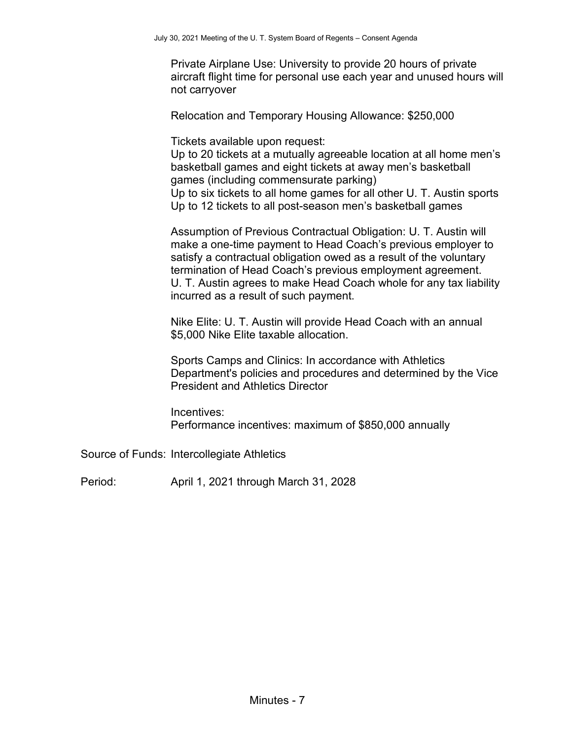Private Airplane Use: University to provide 20 hours of private aircraft flight time for personal use each year and unused hours will not carryover

Relocation and Temporary Housing Allowance: \$250,000

Tickets available upon request:

Up to 20 tickets at a mutually agreeable location at all home men's basketball games and eight tickets at away men's basketball games (including commensurate parking) Up to six tickets to all home games for all other U. T. Austin sports

Up to 12 tickets to all post-season men's basketball games

Assumption of Previous Contractual Obligation: U. T. Austin will make a one-time payment to Head Coach's previous employer to satisfy a contractual obligation owed as a result of the voluntary termination of Head Coach's previous employment agreement. U. T. Austin agrees to make Head Coach whole for any tax liability incurred as a result of such payment.

Nike Elite: U. T. Austin will provide Head Coach with an annual \$5,000 Nike Elite taxable allocation.

Sports Camps and Clinics: In accordance with Athletics Department's policies and procedures and determined by the Vice President and Athletics Director

Incentives: Performance incentives: maximum of \$850,000 annually

Source of Funds: Intercollegiate Athletics

Period: April 1, 2021 through March 31, 2028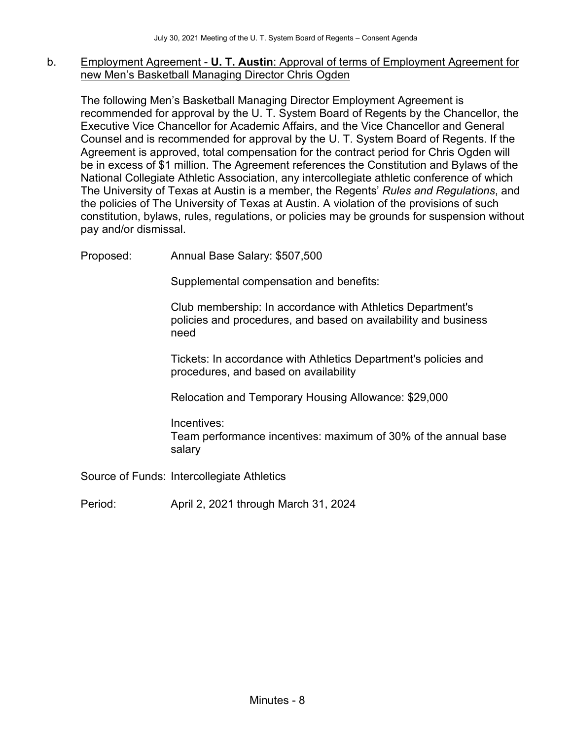### b. Employment Agreement - **U. T. Austin**: Approval of terms of Employment Agreement for new Men's Basketball Managing Director Chris Ogden

The following Men's Basketball Managing Director Employment Agreement is recommended for approval by the U. T. System Board of Regents by the Chancellor, the Executive Vice Chancellor for Academic Affairs, and the Vice Chancellor and General Counsel and is recommended for approval by the U. T. System Board of Regents. If the Agreement is approved, total compensation for the contract period for Chris Ogden will be in excess of \$1 million. The Agreement references the Constitution and Bylaws of the National Collegiate Athletic Association, any intercollegiate athletic conference of which The University of Texas at Austin is a member, the Regents' *Rules and Regulations*, and the policies of The University of Texas at Austin. A violation of the provisions of such constitution, bylaws, rules, regulations, or policies may be grounds for suspension without pay and/or dismissal.

Proposed: Annual Base Salary: \$507,500

Supplemental compensation and benefits:

Club membership: In accordance with Athletics Department's policies and procedures, and based on availability and business need

Tickets: In accordance with Athletics Department's policies and procedures, and based on availability

Relocation and Temporary Housing Allowance: \$29,000

Incentives: Team performance incentives: maximum of 30% of the annual base salary

Source of Funds: Intercollegiate Athletics

Period: April 2, 2021 through March 31, 2024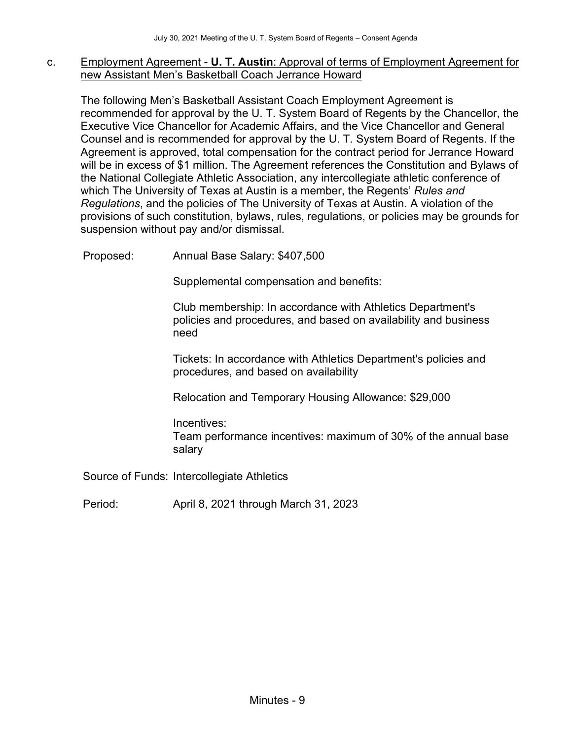#### c. Employment Agreement - **U. T. Austin**: Approval of terms of Employment Agreement for new Assistant Men's Basketball Coach Jerrance Howard

The following Men's Basketball Assistant Coach Employment Agreement is recommended for approval by the U. T. System Board of Regents by the Chancellor, the Executive Vice Chancellor for Academic Affairs, and the Vice Chancellor and General Counsel and is recommended for approval by the U. T. System Board of Regents. If the Agreement is approved, total compensation for the contract period for Jerrance Howard will be in excess of \$1 million. The Agreement references the Constitution and Bylaws of the National Collegiate Athletic Association, any intercollegiate athletic conference of which The University of Texas at Austin is a member, the Regents' *Rules and Regulations*, and the policies of The University of Texas at Austin. A violation of the provisions of such constitution, bylaws, rules, regulations, or policies may be grounds for suspension without pay and/or dismissal.

Proposed: Annual Base Salary: \$407,500

Supplemental compensation and benefits:

Club membership: In accordance with Athletics Department's policies and procedures, and based on availability and business need

Tickets: In accordance with Athletics Department's policies and procedures, and based on availability

Relocation and Temporary Housing Allowance: \$29,000

Incentives: Team performance incentives: maximum of 30% of the annual base salary

Source of Funds: Intercollegiate Athletics

Period: April 8, 2021 through March 31, 2023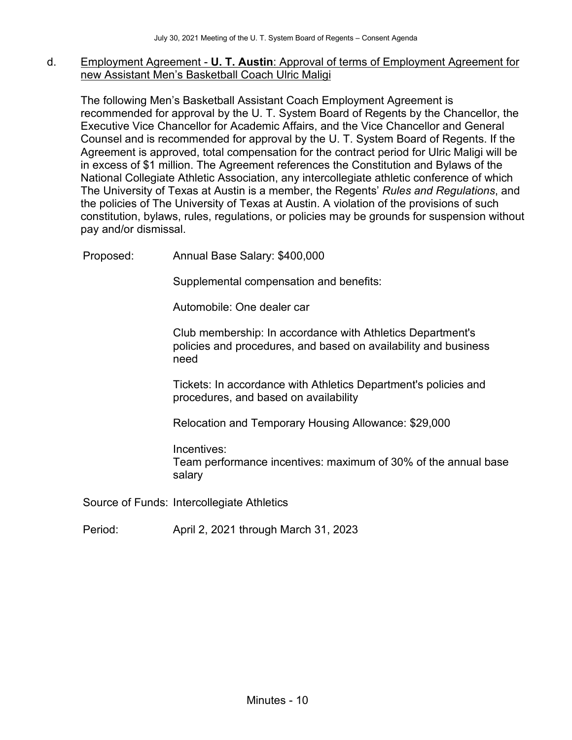### d. Employment Agreement - **U. T. Austin**: Approval of terms of Employment Agreement for new Assistant Men's Basketball Coach Ulric Maligi

The following Men's Basketball Assistant Coach Employment Agreement is recommended for approval by the U. T. System Board of Regents by the Chancellor, the Executive Vice Chancellor for Academic Affairs, and the Vice Chancellor and General Counsel and is recommended for approval by the U. T. System Board of Regents. If the Agreement is approved, total compensation for the contract period for Ulric Maligi will be in excess of \$1 million. The Agreement references the Constitution and Bylaws of the National Collegiate Athletic Association, any intercollegiate athletic conference of which The University of Texas at Austin is a member, the Regents' *Rules and Regulations*, and the policies of The University of Texas at Austin. A violation of the provisions of such constitution, bylaws, rules, regulations, or policies may be grounds for suspension without pay and/or dismissal.

Proposed: Annual Base Salary: \$400,000

Supplemental compensation and benefits:

Automobile: One dealer car

Club membership: In accordance with Athletics Department's policies and procedures, and based on availability and business need

Tickets: In accordance with Athletics Department's policies and procedures, and based on availability

Relocation and Temporary Housing Allowance: \$29,000

Incentives: Team performance incentives: maximum of 30% of the annual base salary

Source of Funds: Intercollegiate Athletics

Period: April 2, 2021 through March 31, 2023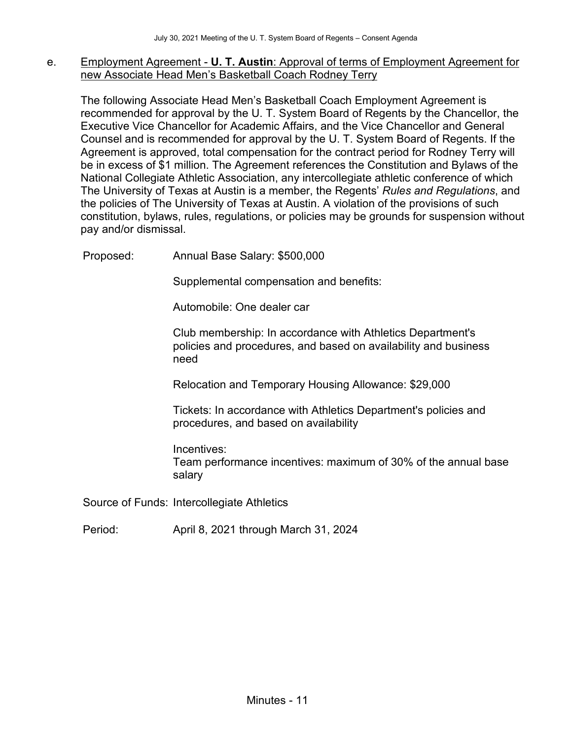#### e. Employment Agreement - **U. T. Austin**: Approval of terms of Employment Agreement for new Associate Head Men's Basketball Coach Rodney Terry

The following Associate Head Men's Basketball Coach Employment Agreement is recommended for approval by the U. T. System Board of Regents by the Chancellor, the Executive Vice Chancellor for Academic Affairs, and the Vice Chancellor and General Counsel and is recommended for approval by the U. T. System Board of Regents. If the Agreement is approved, total compensation for the contract period for Rodney Terry will be in excess of \$1 million. The Agreement references the Constitution and Bylaws of the National Collegiate Athletic Association, any intercollegiate athletic conference of which The University of Texas at Austin is a member, the Regents' *Rules and Regulations*, and the policies of The University of Texas at Austin. A violation of the provisions of such constitution, bylaws, rules, regulations, or policies may be grounds for suspension without pay and/or dismissal.

Proposed: Annual Base Salary: \$500,000

Supplemental compensation and benefits:

Automobile: One dealer car

Club membership: In accordance with Athletics Department's policies and procedures, and based on availability and business need

Relocation and Temporary Housing Allowance: \$29,000

Tickets: In accordance with Athletics Department's policies and procedures, and based on availability

Incentives: Team performance incentives: maximum of 30% of the annual base salary

Source of Funds: Intercollegiate Athletics

Period: April 8, 2021 through March 31, 2024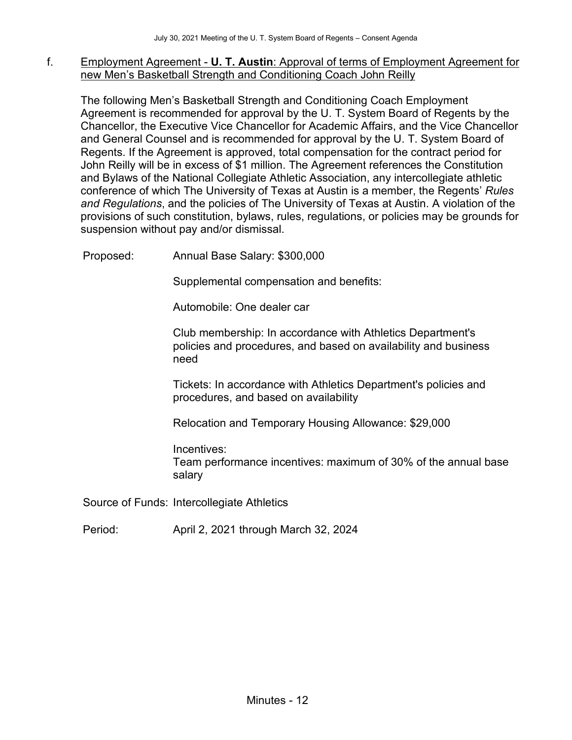#### f. Employment Agreement - **U. T. Austin**: Approval of terms of Employment Agreement for new Men's Basketball Strength and Conditioning Coach John Reilly

The following Men's Basketball Strength and Conditioning Coach Employment Agreement is recommended for approval by the U. T. System Board of Regents by the Chancellor, the Executive Vice Chancellor for Academic Affairs, and the Vice Chancellor and General Counsel and is recommended for approval by the U. T. System Board of Regents. If the Agreement is approved, total compensation for the contract period for John Reilly will be in excess of \$1 million. The Agreement references the Constitution and Bylaws of the National Collegiate Athletic Association, any intercollegiate athletic conference of which The University of Texas at Austin is a member, the Regents' *Rules and Regulations*, and the policies of The University of Texas at Austin. A violation of the provisions of such constitution, bylaws, rules, regulations, or policies may be grounds for suspension without pay and/or dismissal.

Proposed: Annual Base Salary: \$300,000

Supplemental compensation and benefits:

Automobile: One dealer car

Club membership: In accordance with Athletics Department's policies and procedures, and based on availability and business need

Tickets: In accordance with Athletics Department's policies and procedures, and based on availability

Relocation and Temporary Housing Allowance: \$29,000

Incentives: Team performance incentives: maximum of 30% of the annual base salary

Source of Funds: Intercollegiate Athletics

Period: April 2, 2021 through March 32, 2024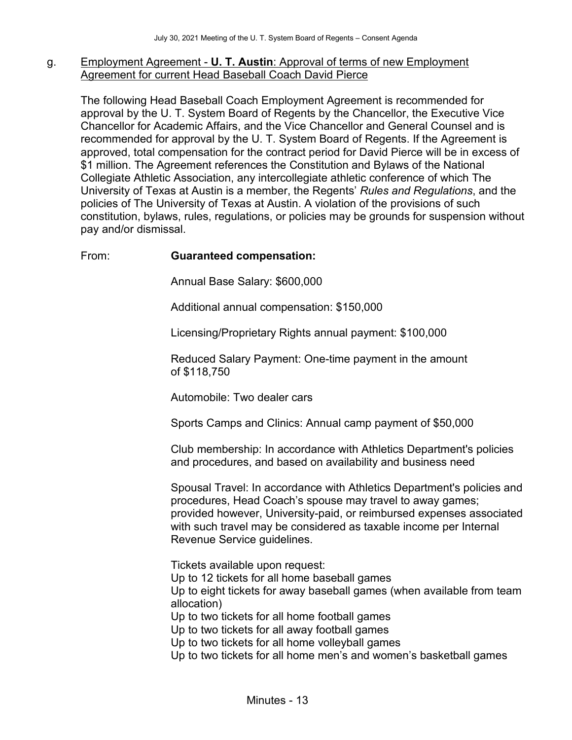### g. Employment Agreement - **U. T. Austin**: Approval of terms of new Employment Agreement for current Head Baseball Coach David Pierce

The following Head Baseball Coach Employment Agreement is recommended for approval by the U. T. System Board of Regents by the Chancellor, the Executive Vice Chancellor for Academic Affairs, and the Vice Chancellor and General Counsel and is recommended for approval by the U. T. System Board of Regents. If the Agreement is approved, total compensation for the contract period for David Pierce will be in excess of \$1 million. The Agreement references the Constitution and Bylaws of the National Collegiate Athletic Association, any intercollegiate athletic conference of which The University of Texas at Austin is a member, the Regents' *Rules and Regulations*, and the policies of The University of Texas at Austin. A violation of the provisions of such constitution, bylaws, rules, regulations, or policies may be grounds for suspension without pay and/or dismissal.

## From: **Guaranteed compensation:**

Annual Base Salary: \$600,000

Additional annual compensation: \$150,000

Licensing/Proprietary Rights annual payment: \$100,000

Reduced Salary Payment: One-time payment in the amount of \$118,750

Automobile: Two dealer cars

Sports Camps and Clinics: Annual camp payment of \$50,000

Club membership: In accordance with Athletics Department's policies and procedures, and based on availability and business need

Spousal Travel: In accordance with Athletics Department's policies and procedures, Head Coach's spouse may travel to away games; provided however, University-paid, or reimbursed expenses associated with such travel may be considered as taxable income per Internal Revenue Service guidelines.

Tickets available upon request: Up to 12 tickets for all home baseball games Up to eight tickets for away baseball games (when available from team allocation) Up to two tickets for all home football games Up to two tickets for all away football games Up to two tickets for all home volleyball games Up to two tickets for all home men's and women's basketball games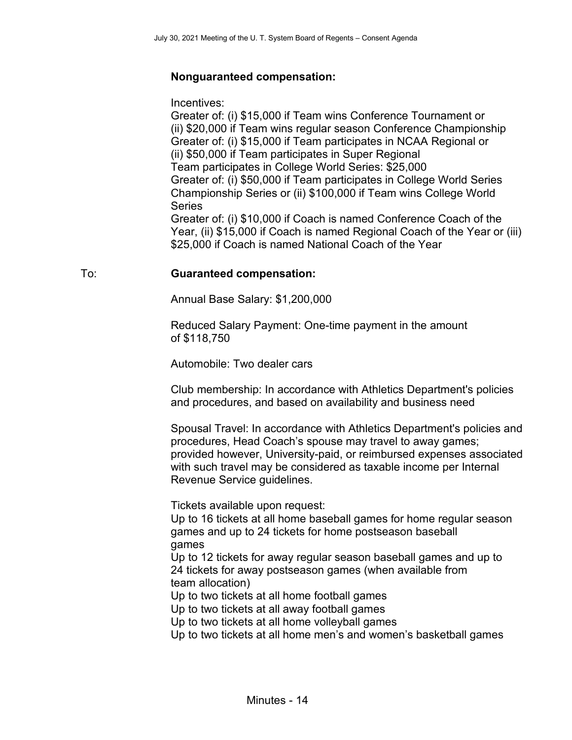# **Nonguaranteed compensation:**

Incentives:

Greater of: (i) \$15,000 if Team wins Conference Tournament or (ii) \$20,000 if Team wins regular season Conference Championship Greater of: (i) \$15,000 if Team participates in NCAA Regional or (ii) \$50,000 if Team participates in Super Regional Team participates in College World Series: \$25,000 Greater of: (i) \$50,000 if Team participates in College World Series Championship Series or (ii) \$100,000 if Team wins College World Series Greater of: (i) \$10,000 if Coach is named Conference Coach of the Year, (ii) \$15,000 if Coach is named Regional Coach of the Year or (iii)

\$25,000 if Coach is named National Coach of the Year

## To: **Guaranteed compensation:**

Annual Base Salary: \$1,200,000

Reduced Salary Payment: One-time payment in the amount of \$118,750

Automobile: Two dealer cars

Club membership: In accordance with Athletics Department's policies and procedures, and based on availability and business need

Spousal Travel: In accordance with Athletics Department's policies and procedures, Head Coach's spouse may travel to away games; provided however, University-paid, or reimbursed expenses associated with such travel may be considered as taxable income per Internal Revenue Service guidelines.

Tickets available upon request:

Up to 16 tickets at all home baseball games for home regular season games and up to 24 tickets for home postseason baseball games

Up to 12 tickets for away regular season baseball games and up to 24 tickets for away postseason games (when available from team allocation)

Up to two tickets at all home football games

Up to two tickets at all away football games

Up to two tickets at all home volleyball games

Up to two tickets at all home men's and women's basketball games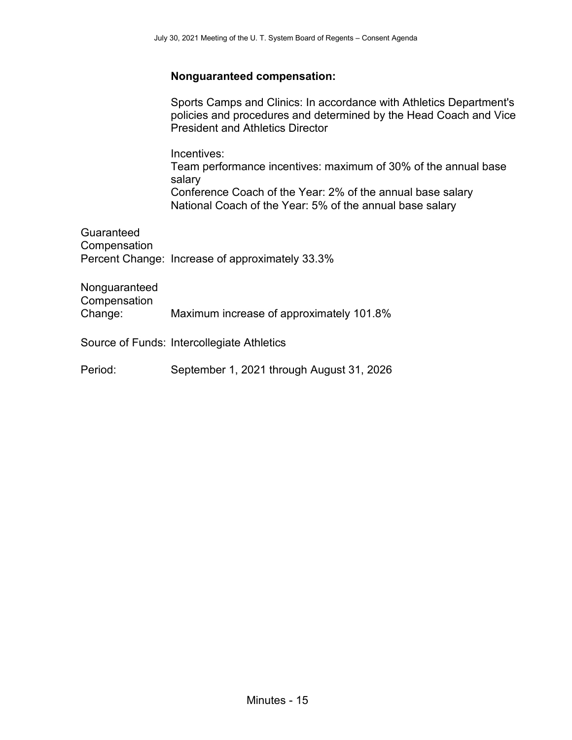## **Nonguaranteed compensation:**

Sports Camps and Clinics: In accordance with Athletics Department's policies and procedures and determined by the Head Coach and Vice President and Athletics Director Incentives: Team performance incentives: maximum of 30% of the annual base salary Conference Coach of the Year: 2% of the annual base salary National Coach of the Year: 5% of the annual base salary Guaranteed **Compensation** Percent Change: Increase of approximately 33.3%

Nonguaranteed **Compensation** Change: Maximum increase of approximately 101.8%

Source of Funds: Intercollegiate Athletics

Period: September 1, 2021 through August 31, 2026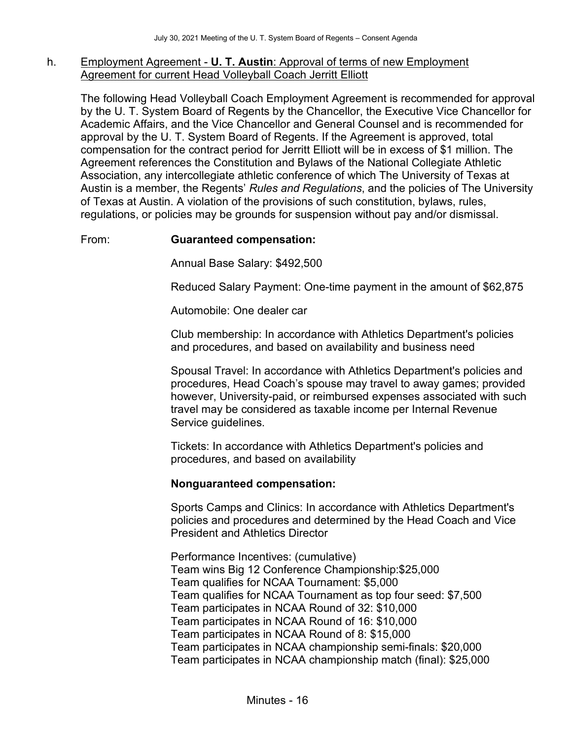### h. Employment Agreement - **U. T. Austin**: Approval of terms of new Employment Agreement for current Head Volleyball Coach Jerritt Elliott

The following Head Volleyball Coach Employment Agreement is recommended for approval by the U. T. System Board of Regents by the Chancellor, the Executive Vice Chancellor for Academic Affairs, and the Vice Chancellor and General Counsel and is recommended for approval by the U. T. System Board of Regents. If the Agreement is approved, total compensation for the contract period for Jerritt Elliott will be in excess of \$1 million. The Agreement references the Constitution and Bylaws of the National Collegiate Athletic Association, any intercollegiate athletic conference of which The University of Texas at Austin is a member, the Regents' *Rules and Regulations*, and the policies of The University of Texas at Austin. A violation of the provisions of such constitution, bylaws, rules, regulations, or policies may be grounds for suspension without pay and/or dismissal.

## From: **Guaranteed compensation:**

Annual Base Salary: \$492,500

Reduced Salary Payment: One-time payment in the amount of \$62,875

Automobile: One dealer car

Club membership: In accordance with Athletics Department's policies and procedures, and based on availability and business need

Spousal Travel: In accordance with Athletics Department's policies and procedures, Head Coach's spouse may travel to away games; provided however, University-paid, or reimbursed expenses associated with such travel may be considered as taxable income per Internal Revenue Service guidelines.

Tickets: In accordance with Athletics Department's policies and procedures, and based on availability

#### **Nonguaranteed compensation:**

Sports Camps and Clinics: In accordance with Athletics Department's policies and procedures and determined by the Head Coach and Vice President and Athletics Director

Performance Incentives: (cumulative) Team wins Big 12 Conference Championship:\$25,000 Team qualifies for NCAA Tournament: \$5,000 Team qualifies for NCAA Tournament as top four seed: \$7,500 Team participates in NCAA Round of 32: \$10,000 Team participates in NCAA Round of 16: \$10,000 Team participates in NCAA Round of 8: \$15,000 Team participates in NCAA championship semi-finals: \$20,000 Team participates in NCAA championship match (final): \$25,000